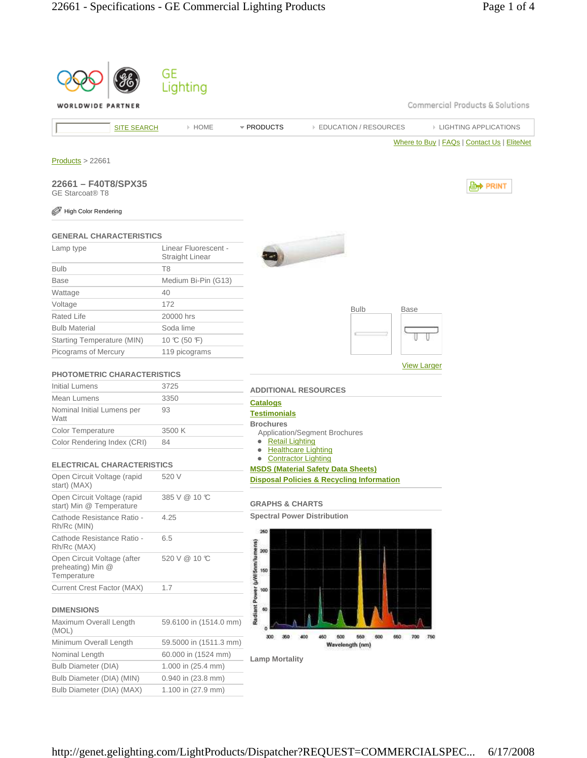|                                                                 | GE                                             |                                                                                       |
|-----------------------------------------------------------------|------------------------------------------------|---------------------------------------------------------------------------------------|
|                                                                 | Lighting                                       |                                                                                       |
| WORLDWIDE PARTNER                                               |                                                | Commercial Products & Solutions                                                       |
| <b>SITE SEARCH</b>                                              | » HOME                                         | * PRODUCTS<br><b>EDUCATION / RESOURCES</b><br><b>EIGHTING APPLICATIONS</b>            |
|                                                                 |                                                | Where to Buy   FAQs   Contact Us   EliteNet                                           |
| Products > 22661                                                |                                                |                                                                                       |
|                                                                 |                                                |                                                                                       |
| 22661 - F40T8/SPX35<br><b>GE Starcoat® T8</b>                   |                                                | 心 PRINT                                                                               |
| High Color Rendering                                            |                                                |                                                                                       |
| <b>GENERAL CHARACTERISTICS</b>                                  |                                                |                                                                                       |
| Lamp type                                                       | Linear Fluorescent -<br><b>Straight Linear</b> |                                                                                       |
| <b>Bulb</b>                                                     | T <sub>8</sub>                                 |                                                                                       |
| <b>Base</b>                                                     | Medium Bi-Pin (G13)                            |                                                                                       |
| Wattage                                                         | 40                                             |                                                                                       |
| Voltage                                                         | 172                                            | <b>Bulb</b><br>Base                                                                   |
| <b>Rated Life</b>                                               | 20000 hrs                                      |                                                                                       |
| <b>Bulb Material</b>                                            | Soda lime                                      |                                                                                       |
| Starting Temperature (MIN)                                      | 10 °C (50 °F)                                  |                                                                                       |
| Picograms of Mercury                                            | 119 picograms                                  |                                                                                       |
| <b>PHOTOMETRIC CHARACTERISTICS</b>                              |                                                | <b>View Larger</b>                                                                    |
| Initial Lumens                                                  | 3725                                           | <b>ADDITIONAL RESOURCES</b>                                                           |
| Mean Lumens                                                     | 3350                                           | <b>Catalogs</b>                                                                       |
| Nominal Initial Lumens per<br>Watt                              | 93                                             | <b>Testimonials</b><br><b>Brochures</b>                                               |
| Color Temperature                                               | 3500 K                                         | Application/Segment Brochures                                                         |
| Color Rendering Index (CRI)                                     | 84                                             | <b>Retail Lighting</b><br>$\bullet$<br><b>Healthcare Lighting</b><br>۰                |
| <b>ELECTRICAL CHARACTERISTICS</b>                               |                                                | <b>Contractor Lighting</b><br>0                                                       |
|                                                                 | 520 V                                          | <b>MSDS (Material Safety Data Sheets)</b>                                             |
| Open Circuit Voltage (rapid<br>start) (MAX)                     |                                                | <b>Disposal Policies &amp; Recycling Information</b>                                  |
| Open Circuit Voltage (rapid<br>start) Min @ Temperature         | 385 V @ 10 °C                                  | <b>GRAPHS &amp; CHARTS</b>                                                            |
| Cathode Resistance Ratio -<br>Rh/Rc (MIN)                       | 4.25                                           | <b>Spectral Power Distribution</b>                                                    |
| Cathode Resistance Ratio -<br>Rh/Rc (MAX)                       | 6.5                                            | 260<br>200                                                                            |
| Open Circuit Voltage (after<br>preheating) Min @<br>Temperature | 520 V @ 10 ℃                                   | Radiant Power (µWi5nm/lumens)<br>150                                                  |
| <b>Current Crest Factor (MAX)</b>                               | 1.7                                            | 100                                                                                   |
| <b>DIMENSIONS</b>                                               |                                                | 60                                                                                    |
| Maximum Overall Length<br>(MOL)                                 | 59.6100 in (1514.0 mm)                         |                                                                                       |
| Minimum Overall Length                                          | 59.5000 in (1511.3 mm)                         | 450<br>500<br>600<br>660<br>300<br>400<br>550<br>700<br>750<br>350<br>Wavelength (nm) |
| Nominal Length                                                  | 60.000 in (1524 mm)                            |                                                                                       |
| <b>Bulb Diameter (DIA)</b>                                      | 1.000 in (25.4 mm)                             | <b>Lamp Mortality</b>                                                                 |
| Bulb Diameter (DIA) (MIN)                                       | 0.940 in (23.8 mm)                             |                                                                                       |
| Bulb Diameter (DIA) (MAX)                                       | 1.100 in (27.9 mm)                             |                                                                                       |
|                                                                 |                                                |                                                                                       |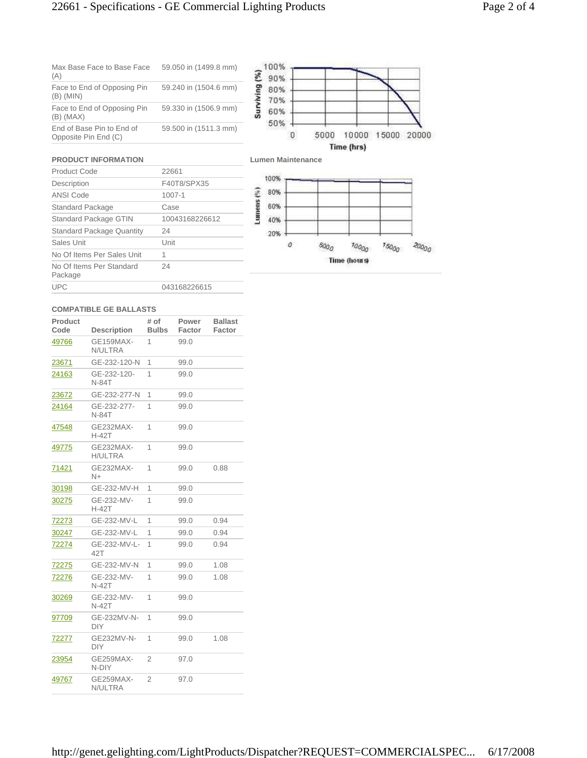## 22661 - Specifications - GE Commercial Lighting Products Page 2 of 4

| Max Base Face to Base Face<br>(A)                 | 59.050 in (1499.8 mm) |
|---------------------------------------------------|-----------------------|
| Face to End of Opposing Pin<br>$(B)$ (MIN)        | 59.240 in (1504.6 mm) |
| Face to End of Opposing Pin<br>$(B)$ (MAX)        | 59.330 in (1506.9 mm) |
| End of Base Pin to End of<br>Opposite Pin End (C) | 59.500 in (1511.3 mm) |



## **PRODUCT INFORMATION**

| Product Code                        | 22661          |
|-------------------------------------|----------------|
| Description                         | F40T8/SPX35    |
| <b>ANSI Code</b>                    | $1007 - 1$     |
| Standard Package                    | Case           |
| Standard Package GTIN               | 10043168226612 |
| <b>Standard Package Quantity</b>    | 24             |
| Sales Unit                          | Unit           |
| No Of Items Per Sales Unit          | 1              |
| No Of Items Per Standard<br>Package | 24             |
| <b>UPC</b>                          | 043168226615   |



## **COMPATIBLE GE BALLASTS**

| Product<br>Code | <b>Description</b>          | # of<br><b>Bulbs</b> | Power<br>Factor | <b>Ballast</b><br>Factor |
|-----------------|-----------------------------|----------------------|-----------------|--------------------------|
| 49766           | <b>GE159MAX-</b><br>N/ULTRA | 1                    | 99.0            |                          |
| 23671           | GE-232-120-N                | 1                    | 99.0            |                          |
| 24163           | GE-232-120-<br>N-84T        | 1                    | 99.0            |                          |
| 23672           | GE-232-277-N                | 1                    | 99.0            |                          |
| 24164           | GE-232-277-<br>N-84T        | 1                    | 99.0            |                          |
| 47548           | GE232MAX-<br>$H-42T$        | 1                    | 99.0            |                          |
| 49775           | GE232MAX-<br><b>H/ULTRA</b> | 1                    | 99.0            |                          |
| 71421           | GE232MAX-<br>N+             | 1                    | 99.0            | 0.88                     |
| 30198           | GE-232-MV-H                 | 1                    | 99.0            |                          |
| 30275           | GE-232-MV-<br>H-42T         | 1                    | 99.0            |                          |
| 72273           | GE-232-MV-L                 | 1                    | 99.0            | 0.94                     |
| 30247           | GE-232-MV-L                 | 1                    | 99.0            | 0.94                     |
| 72274           | GE-232-MV-L-<br>42T         | 1                    | 99.0            | 0.94                     |
| 72275           | GE-232-MV-N                 | 1                    | 99.0            | 1.08                     |
| 72276           | GE-232-MV-<br><b>N-42T</b>  | 1                    | 99.0            | 1.08                     |
| 30269           | GE-232-MV-<br><b>N-42T</b>  | 1                    | 99.0            |                          |
| 97709           | GE-232MV-N-<br>DIY.         | 1                    | 99.0            |                          |
| 72277           | GE232MV-N-<br><b>DIY</b>    | 1                    | 99.0            | 1.08                     |
| 23954           | GE259MAX-<br>N-DIY          | $\overline{2}$       | 97.0            |                          |
| 49767           | GE259MAX-<br>N/ULTRA        | 2                    | 97.0            |                          |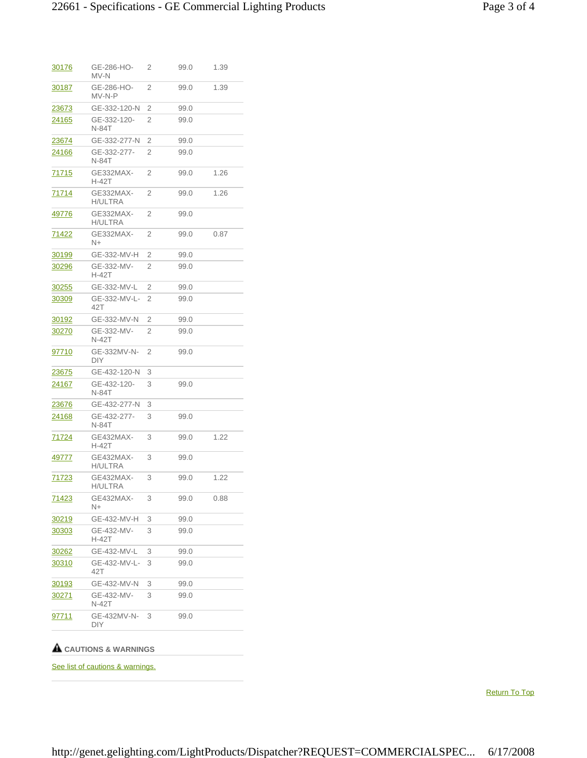| <u>30176</u>  | GE-286-HO-<br>MV-N          | 2              | 99.0 | 1.39 |
|---------------|-----------------------------|----------------|------|------|
| 30187         | GE-286-HO-<br>MV-N-P        | 2              | 99.0 | 1.39 |
| 23673         | GE-332-120-N                | 2              | 99.0 |      |
| 24165         | GE-332-120-<br><b>N-84T</b> | 2              | 99.0 |      |
| <u> 23674</u> | GE-332-277-N                | 2              | 99.0 |      |
| 24166         | GE-332-277-<br>N-84T        | 2              | 99.0 |      |
| <u>71715</u>  | GE332MAX-<br>H-42T          | 2              | 99.0 | 1.26 |
| 71714         | GE332MAX-<br>H/ULTRA        | 2              | 99.0 | 1.26 |
| 49776         | GE332MAX-<br>H/ULTRA        | $\overline{2}$ | 99.0 |      |
| 71422         | GE332MAX-<br>N+             | 2              | 99.0 | 0.87 |
| 30199         | GE-332-MV-H                 | 2              | 99.0 |      |
| 30296         | GE-332-MV-<br>H-42T         | 2              | 99.0 |      |
| 30255         | GE-332-MV-L                 | 2              | 99.0 |      |
| 30309         | GE-332-MV-L-<br>42T         | 2              | 99.0 |      |
| 30192         | GE-332-MV-N                 | 2              | 99.0 |      |
| 30270         | GE-332-MV-<br>N-42T         | $\overline{2}$ | 99.0 |      |
| 97710         | GE-332MV-N-<br>DIY          | 2              | 99.0 |      |
| 23675         | GE-432-120-N                | 3              |      |      |
| 24167         | GE-432-120-<br>N-84T        | 3              | 99.0 |      |
| 23676         | GE-432-277-N                | 3              |      |      |
| 24168         | GE-432-277-<br>N-84T        | 3              | 99.0 |      |
| 71724         | GE432MAX-<br>H-42T          | 3              | 99.0 | 1.22 |
| <u>49777</u>  | GE432MAX-<br>H/ULTRA        | 3              | 99.0 |      |
| <u>71723</u>  | GE432MAX-<br>H/ULTRA        | 3              | 99.0 | 1.22 |
| 71423         | GE432MAX-<br>N+             | 3              | 99.0 | 0.88 |
| <u>30219</u>  | GE-432-MV-H                 | 3              | 99.0 |      |
| 30303         | GE-432-MV-<br>H-42T         | 3              | 99.0 |      |
| 30262         | GE-432-MV-L                 | 3              | 99.0 |      |
| 30310         | GE-432-MV-L-<br>42T         | 3              | 99.0 |      |
| <u>30193</u>  | GE-432-MV-N                 | 3              | 99.0 |      |
| <u>30271</u>  | GE-432-MV-<br>N-42T         | 3              | 99.0 |      |
| <u>97711</u>  | GE-432MV-N-<br>DIY          | 3              | 99.0 |      |
|               |                             |                |      |      |

## **CAUTIONS & WARNINGS**

See list of cautions & warnings.

Return To Top

http://genet.gelighting.com/LightProducts/Dispatcher?REQUEST=COMMERCIALSPEC... 6/17/2008